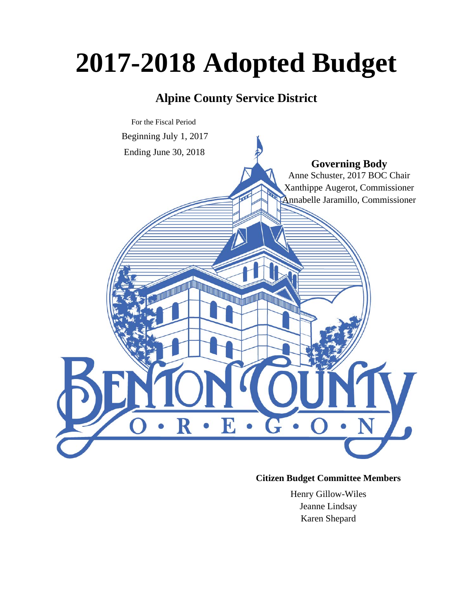# **2017-2018 Adopted Budget**

# **Alpine County Service District**



# **Citizen Budget Committee Members**

Henry Gillow-Wiles Jeanne Lindsay Karen Shepard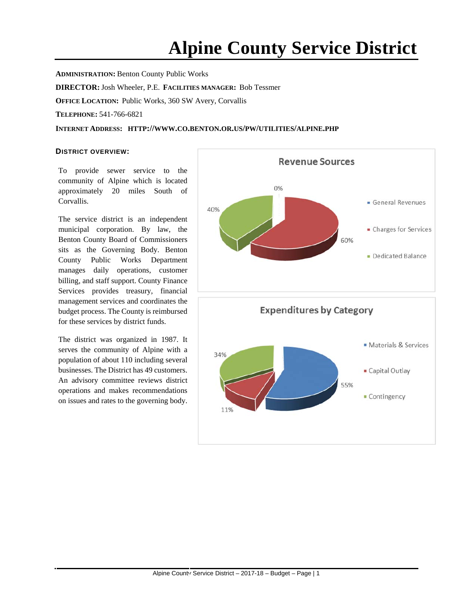# **Alpine County Service District**

**ADMINISTRATION:** Benton County Public Works **DIRECTOR:**Josh Wheeler, P.E. **FACILITIES MANAGER:** Bob Tessmer **OFFICE LOCATION:** Public Works, 360 SW Avery, Corvallis

**TELEPHONE:** 541-766-6821

**INTERNET ADDRESS: HTTP://WWW.CO.BENTON.OR.US/PW/UTILITIES/ALPINE.PHP**

#### **DISTRICT OVERVIEW:**

To provide sewer service to the community of Alpine which is located approximately 20 miles South of Corvallis.

The service district is an independent municipal corporation. By law, the Benton County Board of Commissioners sits as the Governing Body. Benton County Public Works Department manages daily operations, customer billing, and staff support. County Finance Services provides treasury, financial management services and coordinates the budget process. The County is reimbursed for these services by district funds.

The district was organized in 1987. It serves the community of Alpine with a population of about 110 including several businesses. The District has 49 customers. An advisory committee reviews district operations and makes recommendations on issues and rates to the governing body.

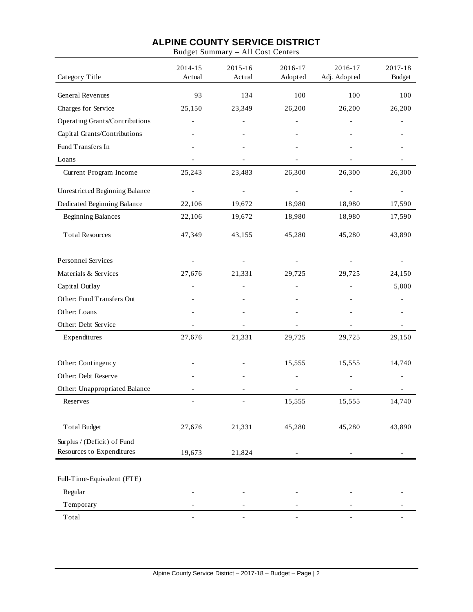|                                | Duuget bummur j   | THE COST COM      |                    |                         |                          |
|--------------------------------|-------------------|-------------------|--------------------|-------------------------|--------------------------|
| Category Title                 | 2014-15<br>Actual | 2015-16<br>Actual | 2016-17<br>Adopted | 2016-17<br>Adj. Adopted | 2017-18<br><b>Budget</b> |
| <b>General Revenues</b>        | 93                | 134               | 100                | 100                     | 100                      |
| Charges for Service            | 25,150            | 23,349            | 26,200             | 26,200                  | 26,200                   |
| Operating Grants/Contributions |                   |                   |                    |                         |                          |
| Capital Grants/Contributions   |                   |                   |                    |                         |                          |
| Fund Transfers In              |                   |                   |                    |                         |                          |
| Loans                          |                   |                   |                    |                         |                          |
| Current Program Income         | 25,243            | 23,483            | 26,300             | 26,300                  | 26,300                   |
| Unrestricted Beginning Balance |                   |                   |                    |                         |                          |
| Dedicated Beginning Balance    | 22,106            | 19,672            | 18,980             | 18,980                  | 17,590                   |
| <b>Beginning Balances</b>      | 22,106            | 19,672            | 18,980             | 18,980                  | 17,590                   |
| <b>Total Resources</b>         | 47,349            | 43,155            | 45,280             | 45,280                  | 43,890                   |
| Personnel Services             |                   |                   |                    |                         |                          |
| Materials & Services           | 27,676            | 21,331            | 29,725             | 29,725                  | 24,150                   |
| Capital Outlay                 |                   |                   |                    |                         | 5,000                    |
| Other: Fund Transfers Out      |                   |                   |                    |                         |                          |
| Other: Loans                   |                   |                   |                    |                         |                          |
| Other: Debt Service            |                   |                   |                    |                         |                          |
| Expenditures                   | 27,676            | 21,331            | 29,725             | 29,725                  | 29,150                   |
| Other: Contingency             |                   |                   | 15,555             | 15,555                  | 14,740                   |
| Other: Debt Reserve            |                   |                   |                    |                         |                          |
| Other: Unappropriated Balance  |                   |                   |                    |                         |                          |
| Reserves                       |                   |                   | 15,555             | 15,555                  | 14,740                   |
| <b>Total Budget</b>            | 27,676            | 21,331            | 45,280             | 45,280                  | 43,890                   |
| Surplus / (Deficit) of Fund    |                   |                   |                    |                         |                          |
| Resources to Expenditures      | 19,673            | 21,824            |                    |                         |                          |
| Full-Time-Equivalent (FTE)     |                   |                   |                    |                         |                          |
| Regular                        |                   |                   |                    |                         |                          |
| Temporary                      |                   |                   |                    |                         |                          |
| Total                          |                   |                   |                    |                         |                          |

Budget Summary – All Cost Centers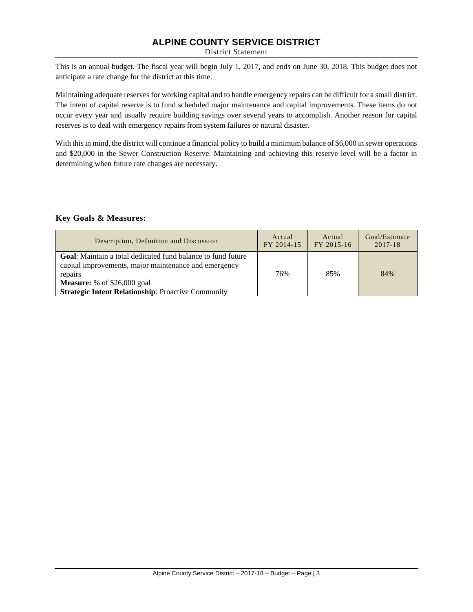District Statement

This is an annual budget. The fiscal year will begin July 1, 2017, and ends on June 30, 2018. This budget does not anticipate a rate change for the district at this time.

Maintaining adequate reserves for working capital and to handle emergency repairs can be difficult for a small district. The intent of capital reserve is to fund scheduled major maintenance and capital improvements. These items do not occur every year and usually require building savings over several years to accomplish. Another reason for capital reserves is to deal with emergency repairs from system failures or natural disaster.

With this in mind, the district will continue a financial policy to build a minimum balance of \$6,000 in sewer operations and \$20,000 in the Sewer Construction Reserve. Maintaining and achieving this reserve level will be a factor in determining when future rate changes are necessary.

#### **Key Goals & Measures:**

| Description, Definition and Discussion                                                                                                                                                                                                      | Actual     | Actual     | Goal/Estimate |
|---------------------------------------------------------------------------------------------------------------------------------------------------------------------------------------------------------------------------------------------|------------|------------|---------------|
|                                                                                                                                                                                                                                             | FY 2014-15 | FY 2015-16 | $2017 - 18$   |
| <b>Goal:</b> Maintain a total dedicated fund balance to fund future<br>capital improvements, major maintenance and emergency<br>repairs<br><b>Measure:</b> % of $$26,000$ goal<br><b>Strategic Intent Relationship: Proactive Community</b> | 76%        | 85%        | 84%           |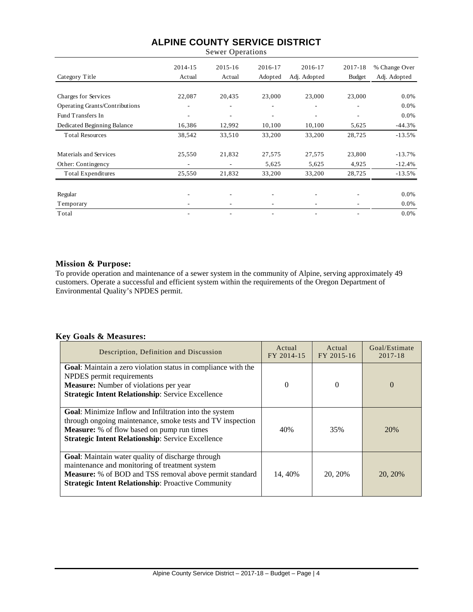| <b>Sewer Operations</b>               |                   |                          |         |                          |         |               |
|---------------------------------------|-------------------|--------------------------|---------|--------------------------|---------|---------------|
|                                       | 2014-15<br>Actual | $2015 - 16$              | 2016-17 | 2016-17                  | 2017-18 | % Change Over |
| Category Title                        |                   | Actual                   | Adopted | Adj. Adopted             | Budget  | Adj. Adopted  |
| Charges for Services                  | 22,087            | 20,435                   | 23,000  | 23,000                   | 23,000  | 0.0%          |
| <b>Operating Grants/Contributions</b> |                   | ۰                        |         |                          |         | 0.0%          |
| Fund Transfers In                     | ۰                 | ۰                        | ۰       | $\overline{\phantom{a}}$ | ٠       | 0.0%          |
| Dedicated Beginning Balance           | 16,386            | 12,992                   | 10,100  | 10,100                   | 5,625   | $-44.3%$      |
| <b>Total Resources</b>                | 38,542            | 33,510                   | 33,200  | 33,200                   | 28,725  | $-13.5%$      |
| Materials and Services                | 25,550            | 21,832                   | 27,575  | 27,575                   | 23,800  | $-13.7%$      |
| Other: Contingency                    |                   | $\overline{\phantom{a}}$ | 5,625   | 5,625                    | 4,925   | $-12.4%$      |
| Total Expenditures                    | 25,550            | 21,832                   | 33,200  | 33,200                   | 28,725  | $-13.5%$      |
| Regular                               |                   | ٠                        | ۰       |                          | ٠       | 0.0%          |
| Temporary                             |                   |                          |         |                          |         | 0.0%          |
| Total                                 |                   |                          |         |                          |         | 0.0%          |

#### **Mission & Purpose:**

To provide operation and maintenance of a sewer system in the community of Alpine, serving approximately 49 customers. Operate a successful and efficient system within the requirements of the Oregon Department of Environmental Quality's NPDES permit.

#### **Key Goals & Measures:**

| Description, Definition and Discussion                                                                                                                                                                                                       | Actual<br>FY 2014-15 | Actual<br>FY 2015-16 | Goal/Estimate<br>$2017 - 18$ |
|----------------------------------------------------------------------------------------------------------------------------------------------------------------------------------------------------------------------------------------------|----------------------|----------------------|------------------------------|
| Goal: Maintain a zero violation status in compliance with the<br>NPDES permit requirements<br><b>Measure:</b> Number of violations per year<br><b>Strategic Intent Relationship: Service Excellence</b>                                      | $\Omega$             | 0                    | $\Omega$                     |
| <b>Goal:</b> Minimize Inflow and Infiltration into the system<br>through ongoing maintenance, smoke tests and TV inspection<br><b>Measure:</b> % of flow based on pump run times<br><b>Strategic Intent Relationship: Service Excellence</b> | 40%                  | 35%                  | 20%                          |
| <b>Goal:</b> Maintain water quality of discharge through<br>maintenance and monitoring of treatment system<br>Measure: % of BOD and TSS removal above permit standard<br><b>Strategic Intent Relationship: Proactive Community</b>           | 14, 40%              | 20, 20%              | 20, 20%                      |